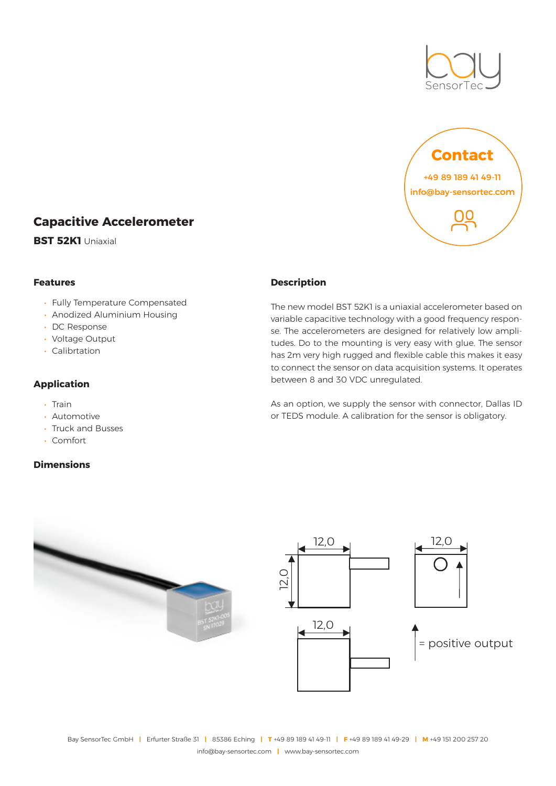



# **Capacitive Accelerometer**

**BST 52K1** Uniaxial

#### **Features**

- Fully Temperature Compensated
- Anodized Aluminium Housing
- DC Response
- Voltage Output
- Calibrtation

### **Application**

- Train
- Automotive
- Truck and Busses
- Comfort

### **Dimensions**

#### **Description**

The new model BST 52K1 is a uniaxial accelerometer based on variable capacitive technology with a good frequency response. The accelerometers are designed for relatively low amplitudes. Do to the mounting is very easy with glue. The sensor has 2m very high rugged and flexible cable this makes it easy to connect the sensor on data acquisition systems. It operates between 8 and 30 VDC unregulated.

As an option, we supply the sensor with connector, Dallas ID or TEDS module. A calibration for the sensor is obligatory.